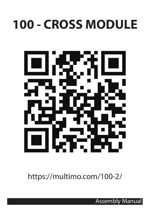## **100 - CROSS MODULE**



https://multimo.com/100-2/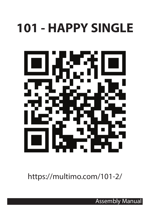## **101 - HAPPY SINGLE**



https://multimo.com/101-2/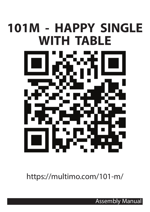# **101M - HAPPY SINGLE WITH TABLE**

https://multimo.com/101-m/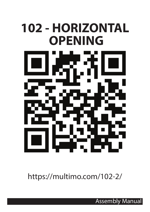# **102 - HORIZONTAL OPENING**

https://multimo.com/102-2/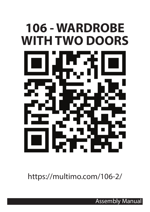# **106 - WARDROBE WITH TWO DOORS**

https://multimo.com/106-2/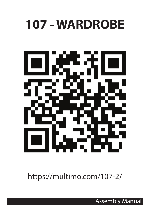#### **107 - WARDROBE**



https://multimo.com/107-2/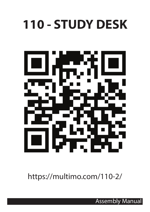## **110 - STUDY DESK**



https://multimo.com/110-2/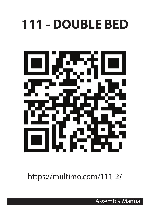## **111 - DOUBLE BED**



https://multimo.com/111-2/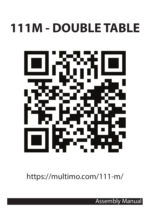## **111M - DOUBLE TABLE**



https://multimo.com/111-m/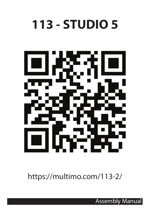## **113 - STUDIO 5**



https://multimo.com/113-2/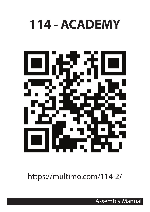### **114 - ACADEMY**



https://multimo.com/114-2/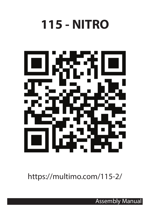## **115 - NITRO**



https://multimo.com/115-2/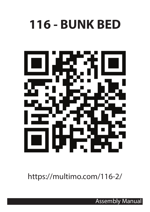#### **116 - BUNK BED**



https://multimo.com/116-2/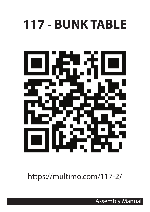#### **117 - BUNK TABLE**



https://multimo.com/117-2/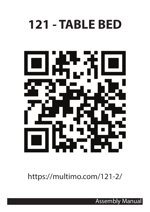#### **121 - TABLE BED**



https://multimo.com/121-2/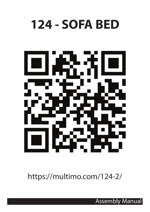#### **124 - SOFA BED**



https://multimo.com/124-2/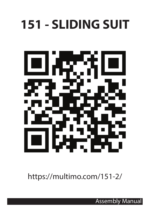## **151 - SLIDING SUIT**



https://multimo.com/151-2/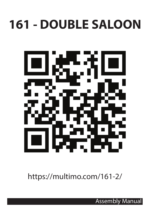## **161 - DOUBLE SALOON**



https://multimo.com/161-2/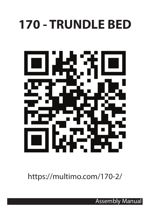## **170 - TRUNDLE BED**



https://multimo.com/170-2/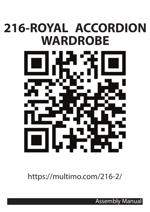## **216-ROYAL ACCORDION WARDROBE**



https://multimo.com/216-2/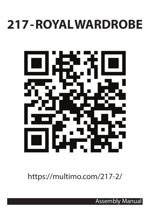#### **217 - ROYAL WARDROBE**



https://multimo.com/217-2/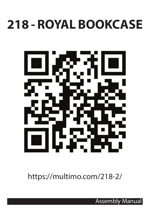#### **218 - ROYAL BOOKCASE**



https://multimo.com/218-2/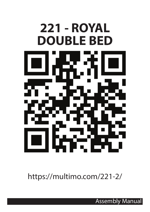

https://multimo.com/221-2/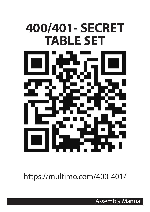# **400/401- SECRET TABLE SET**

https://multimo.com/400-401/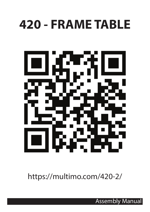## **420 - FRAME TABLE**



https://multimo.com/420-2/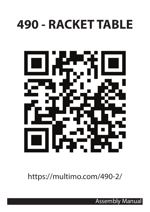#### **490 - RACKET TABLE**



https://multimo.com/490-2/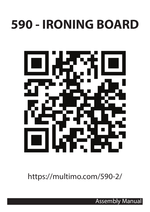## **590 - IRONING BOARD**



https://multimo.com/590-2/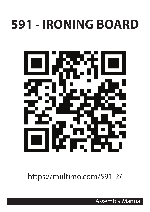## **591 - IRONING BOARD**



https://multimo.com/591-2/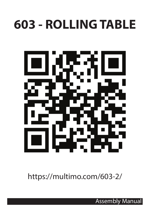## **603 - ROLLING TABLE**



https://multimo.com/603-2/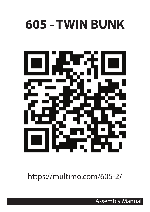## **605 - TWIN BUNK**



https://multimo.com/605-2/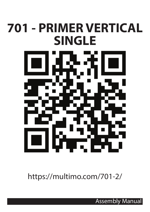## **701 - PRIMER VERTICAL SINGLE**



https://multimo.com/701-2/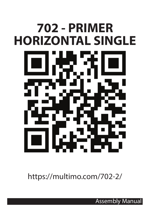# **702 - PRIMER HORIZONTAL SINGLE**

https://multimo.com/702-2/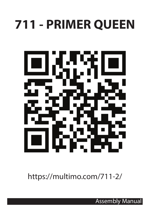## **711 - PRIMER QUEEN**



https://multimo.com/711-2/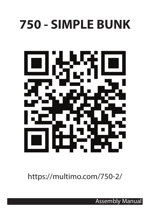## **750 - SIMPLE BUNK**



https://multimo.com/750-2/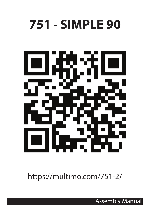### **751 - SIMPLE 90**



https://multimo.com/751-2/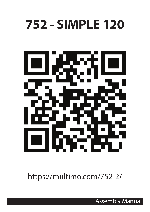#### **752 - SIMPLE 120**



https://multimo.com/752-2/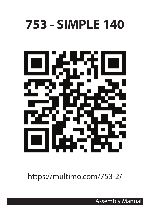#### **753 - SIMPLE 140**



https://multimo.com/753-2/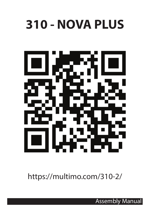#### **310 - NOVA PLUS**



https://multimo.com/310-2/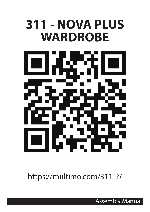#### **311 - NOVA PLUS WARDROBE**



https://multimo.com/311-2/